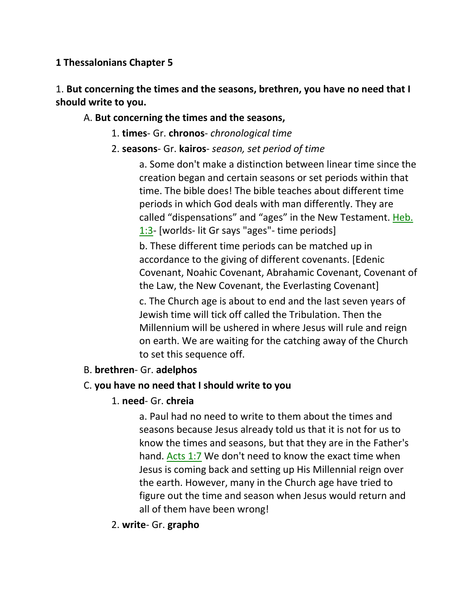#### **1 Thessalonians Chapter 5**

1. **But concerning the times and the seasons, brethren, you have no need that I should write to you.** 

#### A. **But concerning the times and the seasons,**

- 1. **times** Gr. **chronos** *chronological time*
- 2. **seasons** Gr. **kairos** *season, set period of time*

a. Some don't make a distinction between linear time since the creation began and certain seasons or set periods within that time. The bible does! The bible teaches about different time periods in which God deals with man differently. They are called "dispensations" and "ages" in the New Testament. Heb. 1:3- [worlds- lit Gr says "ages"- time periods]

b. These different time periods can be matched up in accordance to the giving of different covenants. [Edenic Covenant, Noahic Covenant, Abrahamic Covenant, Covenant of the Law, the New Covenant, the Everlasting Covenant]

c. The Church age is about to end and the last seven years of Jewish time will tick off called the Tribulation. Then the Millennium will be ushered in where Jesus will rule and reign on earth. We are waiting for the catching away of the Church to set this sequence off.

#### B. **brethren**- Gr. **adelphos**

#### C. **you have no need that I should write to you**

#### 1. **need**- Gr. **chreia**

a. Paul had no need to write to them about the times and seasons because Jesus already told us that it is not for us to know the times and seasons, but that they are in the Father's hand. Acts 1:7 We don't need to know the exact time when Jesus is coming back and setting up His Millennial reign over the earth. However, many in the Church age have tried to figure out the time and season when Jesus would return and all of them have been wrong!

#### 2. **write**- Gr. **grapho**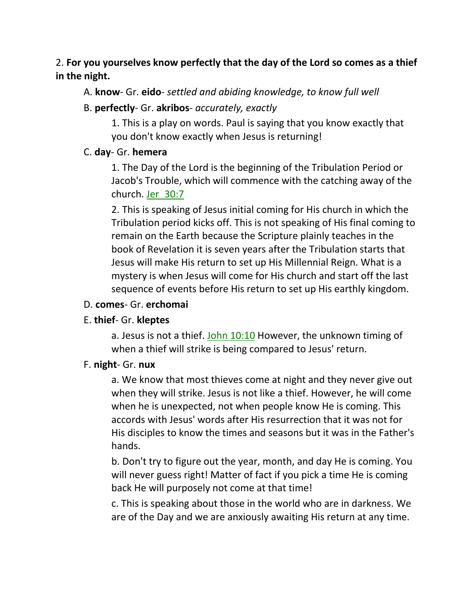# 2. **For you yourselves know perfectly that the day of the Lord so comes as a thief in the night.**

### A. **know**- Gr. **eido**- *settled and abiding knowledge, to know full well*

### B. **perfectly**- Gr. **akribos**- *accurately, exactly*

1. This is a play on words. Paul is saying that you know exactly that you don't know exactly when Jesus is returning!

### C. **day**- Gr. **hemera**

1. The Day of the Lord is the beginning of the Tribulation Period or Jacob's Trouble, which will commence with the catching away of the church. Jer\_30:7

2. This is speaking of Jesus initial coming for His church in which the Tribulation period kicks off. This is not speaking of His final coming to remain on the Earth because the Scripture plainly teaches in the book of Revelation it is seven years after the Tribulation starts that Jesus will make His return to set up His Millennial Reign. What is a mystery is when Jesus will come for His church and start off the last sequence of events before His return to set up His earthly kingdom.

#### D. **comes**- Gr. **erchomai**

# E. **thief**- Gr. **kleptes**

a. Jesus is not a thief. John 10:10 However, the unknown timing of when a thief will strike is being compared to Jesus' return.

# F. **night**- Gr. **nux**

a. We know that most thieves come at night and they never give out when they will strike. Jesus is not like a thief. However, he will come when he is unexpected, not when people know He is coming. This accords with Jesus' words after His resurrection that it was not for His disciples to know the times and seasons but it was in the Father's hands.

b. Don't try to figure out the year, month, and day He is coming. You will never guess right! Matter of fact if you pick a time He is coming back He will purposely not come at that time!

c. This is speaking about those in the world who are in darkness. We are of the Day and we are anxiously awaiting His return at any time.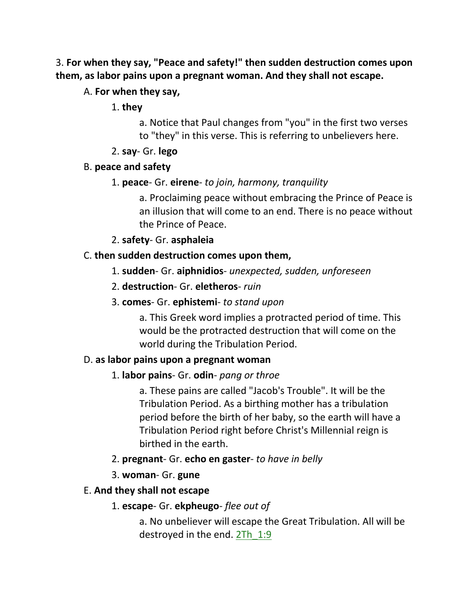3. **For when they say, "Peace and safety!" then sudden destruction comes upon them, as labor pains upon a pregnant woman. And they shall not escape.** 

# A. **For when they say,**

1. **they**

a. Notice that Paul changes from "you" in the first two verses to "they" in this verse. This is referring to unbelievers here.

2. **say**- Gr. **lego**

# B. **peace and safety**

### 1. **peace**- Gr. **eirene**- *to join, harmony, tranquility*

a. Proclaiming peace without embracing the Prince of Peace is an illusion that will come to an end. There is no peace without the Prince of Peace.

2. **safety**- Gr. **asphaleia**

# C. **then sudden destruction comes upon them,**

- 1. **sudden** Gr. **aiphnidios** *unexpected, sudden, unforeseen*
- 2. **destruction** Gr. **eletheros** *ruin*
- 3. **comes** Gr. **ephistemi** *to stand upon*

a. This Greek word implies a protracted period of time. This would be the protracted destruction that will come on the world during the Tribulation Period.

#### D. **as labor pains upon a pregnant woman**

# 1. **labor pains**- Gr. **odin**- *pang or throe*

a. These pains are called "Jacob's Trouble". It will be the Tribulation Period. As a birthing mother has a tribulation period before the birth of her baby, so the earth will have a Tribulation Period right before Christ's Millennial reign is birthed in the earth.

- 2. **pregnant** Gr. **echo en gaster** *to have in belly*
- 3. **woman** Gr. **gune**

# E. **And they shall not escape**

1. **escape**- Gr. **ekpheugo**- *flee out of*

a. No unbeliever will escape the Great Tribulation. All will be destroyed in the end. 2Th\_1:9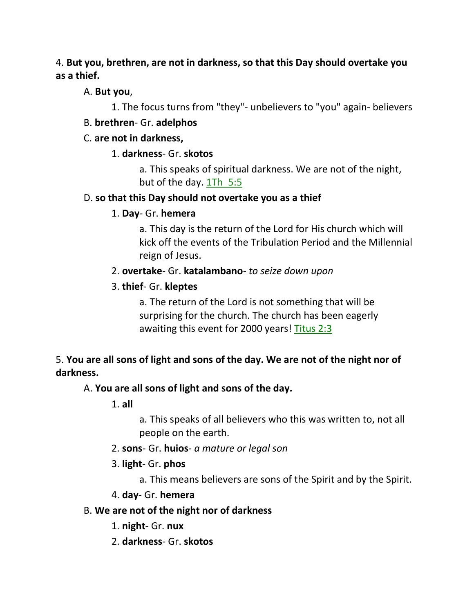### 4. **But you, brethren, are not in darkness, so that this Day should overtake you as a thief.**

A. **But you**,

1. The focus turns from "they"- unbelievers to "you" again- believers

# B. **brethren**- Gr. **adelphos**

# C. **are not in darkness,**

# 1. **darkness**- Gr. **skotos**

a. This speaks of spiritual darkness. We are not of the night, but of the day. 1Th\_5:5

# D. **so that this Day should not overtake you as a thief**

# 1. **Day**- Gr. **hemera**

a. This day is the return of the Lord for His church which will kick off the events of the Tribulation Period and the Millennial reign of Jesus.

# 2. **overtake**- Gr. **katalambano**- *to seize down upon*

# 3. **thief**- Gr. **kleptes**

a. The return of the Lord is not something that will be surprising for the church. The church has been eagerly awaiting this event for 2000 years! Titus 2:3

# 5. **You are all sons of light and sons of the day. We are not of the night nor of darkness.**

# A. **You are all sons of light and sons of the day.**

1. **all**

a. This speaks of all believers who this was written to, not all people on the earth.

- 2. **sons** Gr. **huios** *a mature or legal son*
- 3. **light** Gr. **phos**
	- a. This means believers are sons of the Spirit and by the Spirit.

# 4. **day**- Gr. **hemera**

# B. **We are not of the night nor of darkness**

- 1. **night** Gr. **nux**
- 2. **darkness** Gr. **skotos**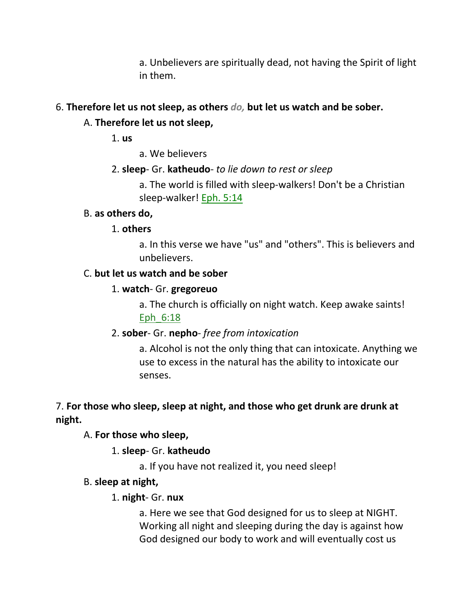a. Unbelievers are spiritually dead, not having the Spirit of light in them.

### 6. **Therefore let us not sleep, as others** *do,* **but let us watch and be sober.**

# A. **Therefore let us not sleep,**

1. **us**

- a. We believers
- 2. **sleep** Gr. **katheudo** *to lie down to rest or sleep*

a. The world is filled with sleep-walkers! Don't be a Christian sleep-walker! Eph. 5:14

#### B. **as others do,**

#### 1. **others**

a. In this verse we have "us" and "others". This is believers and unbelievers.

#### C. **but let us watch and be sober**

#### 1. **watch**- Gr. **gregoreuo**

a. The church is officially on night watch. Keep awake saints! Eph\_6:18

#### 2. **sober**- Gr. **nepho**- *free from intoxication*

a. Alcohol is not the only thing that can intoxicate. Anything we use to excess in the natural has the ability to intoxicate our senses.

# 7. **For those who sleep, sleep at night, and those who get drunk are drunk at night.**

# A. **For those who sleep,**

1. **sleep**- Gr. **katheudo**

a. If you have not realized it, you need sleep!

#### B. **sleep at night,**

#### 1. **night**- Gr. **nux**

a. Here we see that God designed for us to sleep at NIGHT. Working all night and sleeping during the day is against how God designed our body to work and will eventually cost us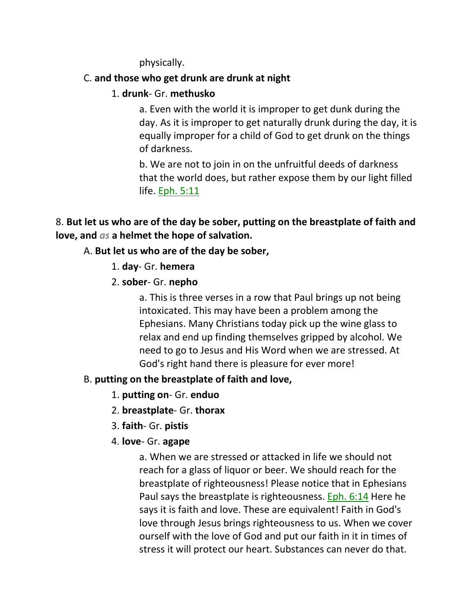physically.

# C. **and those who get drunk are drunk at night**

### 1. **drunk**- Gr. **methusko**

a. Even with the world it is improper to get dunk during the day. As it is improper to get naturally drunk during the day, it is equally improper for a child of God to get drunk on the things of darkness.

b. We are not to join in on the unfruitful deeds of darkness that the world does, but rather expose them by our light filled life. Eph. 5:11

# 8. **But let us who are of the day be sober, putting on the breastplate of faith and love, and** *as* **a helmet the hope of salvation.**

# A. **But let us who are of the day be sober,**

### 1. **day**- Gr. **hemera**

### 2. **sober**- Gr. **nepho**

a. This is three verses in a row that Paul brings up not being intoxicated. This may have been a problem among the Ephesians. Many Christians today pick up the wine glass to relax and end up finding themselves gripped by alcohol. We need to go to Jesus and His Word when we are stressed. At God's right hand there is pleasure for ever more!

# B. **putting on the breastplate of faith and love,**

- 1. **putting on** Gr. **enduo**
- 2. **breastplate** Gr. **thorax**
- 3. **faith** Gr. **pistis**
- 4. **love** Gr. **agape**

a. When we are stressed or attacked in life we should not reach for a glass of liquor or beer. We should reach for the breastplate of righteousness! Please notice that in Ephesians Paul says the breastplate is righteousness. Eph. 6:14 Here he says it is faith and love. These are equivalent! Faith in God's love through Jesus brings righteousness to us. When we cover ourself with the love of God and put our faith in it in times of stress it will protect our heart. Substances can never do that.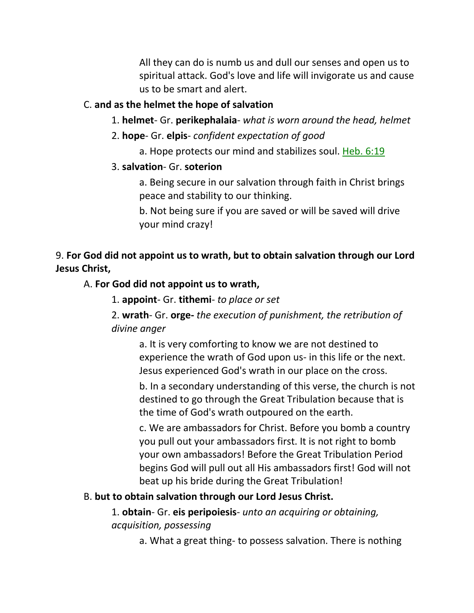All they can do is numb us and dull our senses and open us to spiritual attack. God's love and life will invigorate us and cause us to be smart and alert.

# C. **and as the helmet the hope of salvation**

- 1. **helmet** Gr. **perikephalaia** *what is worn around the head, helmet*
- 2. **hope** Gr. **elpis** *confident expectation of good*
	- a. Hope protects our mind and stabilizes soul. Heb. 6:19

# 3. **salvation**- Gr. **soterion**

a. Being secure in our salvation through faith in Christ brings peace and stability to our thinking.

b. Not being sure if you are saved or will be saved will drive your mind crazy!

# 9. **For God did not appoint us to wrath, but to obtain salvation through our Lord Jesus Christ,**

# A. **For God did not appoint us to wrath,**

1. **appoint**- Gr. **tithemi**- *to place or set*

# 2. **wrath**- Gr. **orge-** *the execution of punishment, the retribution of divine anger*

a. It is very comforting to know we are not destined to experience the wrath of God upon us- in this life or the next. Jesus experienced God's wrath in our place on the cross.

b. In a secondary understanding of this verse, the church is not destined to go through the Great Tribulation because that is the time of God's wrath outpoured on the earth.

c. We are ambassadors for Christ. Before you bomb a country you pull out your ambassadors first. It is not right to bomb your own ambassadors! Before the Great Tribulation Period begins God will pull out all His ambassadors first! God will not beat up his bride during the Great Tribulation!

# B. **but to obtain salvation through our Lord Jesus Christ.**

# 1. **obtain**- Gr. **eis peripoiesis**- *unto an acquiring or obtaining, acquisition, possessing*

a. What a great thing- to possess salvation. There is nothing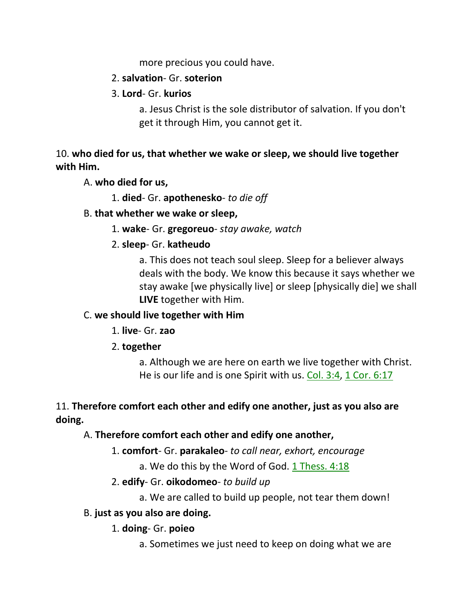more precious you could have.

### 2. **salvation**- Gr. **soterion**

### 3. **Lord**- Gr. **kurios**

a. Jesus Christ is the sole distributor of salvation. If you don't get it through Him, you cannot get it.

10. **who died for us, that whether we wake or sleep, we should live together with Him.** 

A. **who died for us,**

1. **died**- Gr. **apothenesko**- *to die off*

### B. **that whether we wake or sleep,**

1. **wake**- Gr. **gregoreuo**- *stay awake, watch*

# 2. **sleep**- Gr. **katheudo**

a. This does not teach soul sleep. Sleep for a believer always deals with the body. We know this because it says whether we stay awake [we physically live] or sleep [physically die] we shall **LIVE** together with Him.

# C. **we should live together with Him**

# 1. **live**- Gr. **zao**

# 2. **together**

a. Although we are here on earth we live together with Christ. He is our life and is one Spirit with us. Col. 3:4, 1 Cor. 6:17

# 11. **Therefore comfort each other and edify one another, just as you also are doing.**

# A. **Therefore comfort each other and edify one another,**

- 1. **comfort** Gr. **parakaleo** *to call near, exhort, encourage*
	- a. We do this by the Word of God. 1 Thess. 4:18

# 2. **edify**- Gr. **oikodomeo**- *to build up*

a. We are called to build up people, not tear them down!

# B. **just as you also are doing.**

# 1. **doing**- Gr. **poieo**

a. Sometimes we just need to keep on doing what we are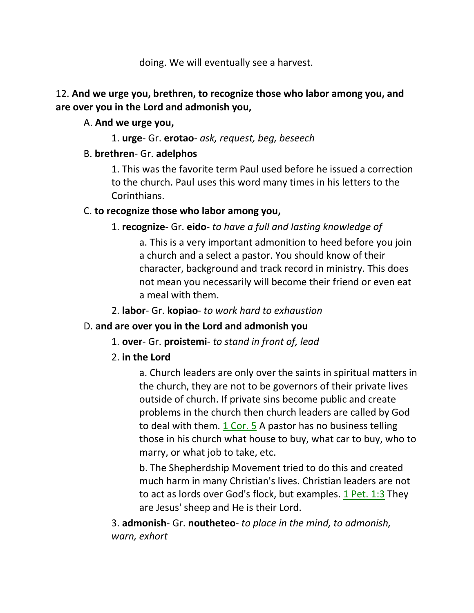doing. We will eventually see a harvest.

### 12. **And we urge you, brethren, to recognize those who labor among you, and are over you in the Lord and admonish you,**

### A. **And we urge you,**

1. **urge**- Gr. **erotao**- *ask, request, beg, beseech*

# B. **brethren**- Gr. **adelphos**

1. This was the favorite term Paul used before he issued a correction to the church. Paul uses this word many times in his letters to the Corinthians.

# C. **to recognize those who labor among you,**

# 1. **recognize**- Gr. **eido**- *to have a full and lasting knowledge of*

a. This is a very important admonition to heed before you join a church and a select a pastor. You should know of their character, background and track record in ministry. This does not mean you necessarily will become their friend or even eat a meal with them.

2. **labor**- Gr. **kopiao**- *to work hard to exhaustion*

# D. **and are over you in the Lord and admonish you**

# 1. **over**- Gr. **proistemi**- *to stand in front of, lead*

# 2. **in the Lord**

a. Church leaders are only over the saints in spiritual matters in the church, they are not to be governors of their private lives outside of church. If private sins become public and create problems in the church then church leaders are called by God to deal with them. 1 Cor. 5 A pastor has no business telling those in his church what house to buy, what car to buy, who to marry, or what job to take, etc.

b. The Shepherdship Movement tried to do this and created much harm in many Christian's lives. Christian leaders are not to act as lords over God's flock, but examples. 1 Pet. 1:3 They are Jesus' sheep and He is their Lord.

3. **admonish**- Gr. **noutheteo**- *to place in the mind, to admonish, warn, exhort*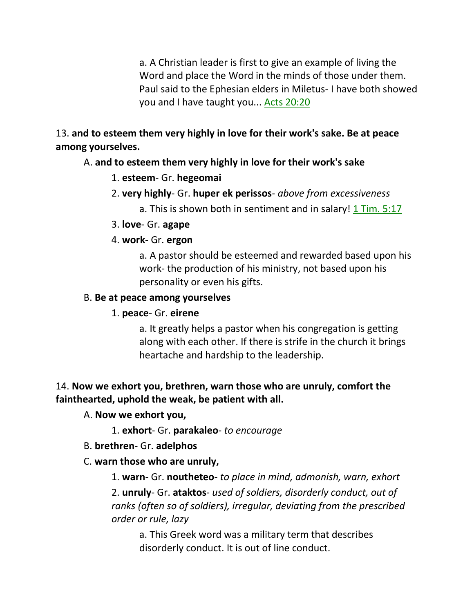a. A Christian leader is first to give an example of living the Word and place the Word in the minds of those under them. Paul said to the Ephesian elders in Miletus- I have both showed you and I have taught you... Acts 20:20

13. **and to esteem them very highly in love for their work's sake. Be at peace among yourselves.** 

### A. **and to esteem them very highly in love for their work's sake**

- 1. **esteem** Gr. **hegeomai**
- 2. **very highly** Gr. **huper ek perissos** *above from excessiveness*
	- a. This is shown both in sentiment and in salary!  $1$  Tim. 5:17
- 3. **love** Gr. **agape**

#### 4. **work**- Gr. **ergon**

a. A pastor should be esteemed and rewarded based upon his work- the production of his ministry, not based upon his personality or even his gifts.

#### B. **Be at peace among yourselves**

1. **peace**- Gr. **eirene**

a. It greatly helps a pastor when his congregation is getting along with each other. If there is strife in the church it brings heartache and hardship to the leadership.

# 14. **Now we exhort you, brethren, warn those who are unruly, comfort the fainthearted, uphold the weak, be patient with all.**

- A. **Now we exhort you,**
	- 1. **exhort** Gr. **parakaleo** *to encourage*
- B. **brethren** Gr. **adelphos**

#### C. **warn those who are unruly,**

1. **warn**- Gr. **noutheteo**- *to place in mind, admonish, warn, exhort*

2. **unruly**- Gr. **ataktos**- *used of soldiers, disorderly conduct, out of ranks (often so of soldiers), irregular, deviating from the prescribed order or rule, lazy*

a. This Greek word was a military term that describes disorderly conduct. It is out of line conduct.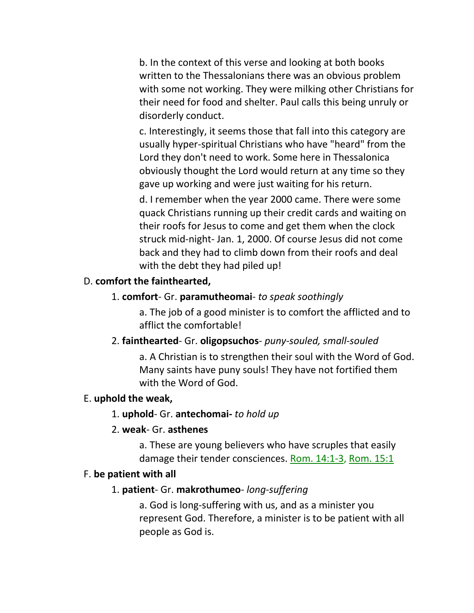b. In the context of this verse and looking at both books written to the Thessalonians there was an obvious problem with some not working. They were milking other Christians for their need for food and shelter. Paul calls this being unruly or disorderly conduct.

c. Interestingly, it seems those that fall into this category are usually hyper-spiritual Christians who have "heard" from the Lord they don't need to work. Some here in Thessalonica obviously thought the Lord would return at any time so they gave up working and were just waiting for his return.

d. I remember when the year 2000 came. There were some quack Christians running up their credit cards and waiting on their roofs for Jesus to come and get them when the clock struck mid-night- Jan. 1, 2000. Of course Jesus did not come back and they had to climb down from their roofs and deal with the debt they had piled up!

# D. **comfort the fainthearted,**

### 1. **comfort**- Gr. **paramutheomai**- *to speak soothingly*

a. The job of a good minister is to comfort the afflicted and to afflict the comfortable!

# 2. **fainthearted**- Gr. **oligopsuchos**- *puny-souled, small-souled*

a. A Christian is to strengthen their soul with the Word of God. Many saints have puny souls! They have not fortified them with the Word of God.

#### E. **uphold the weak,**

# 1. **uphold**- Gr. **antechomai-** *to hold up*

# 2. **weak**- Gr. **asthenes**

a. These are young believers who have scruples that easily damage their tender consciences. Rom. 14:1-3, Rom. 15:1

# F. **be patient with all**

# 1. **patient**- Gr. **makrothumeo**- *long-suffering*

a. God is long-suffering with us, and as a minister you represent God. Therefore, a minister is to be patient with all people as God is.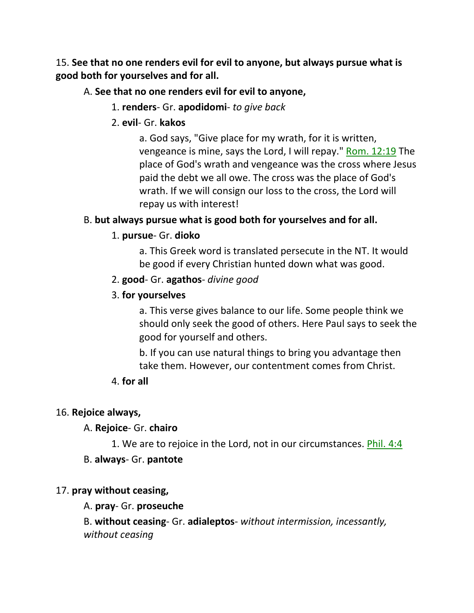15. **See that no one renders evil for evil to anyone, but always pursue what is good both for yourselves and for all.** 

### A. **See that no one renders evil for evil to anyone,**

- 1. **renders** Gr. **apodidomi** *to give back*
- 2. **evil** Gr. **kakos**

a. God says, "Give place for my wrath, for it is written, vengeance is mine, says the Lord, I will repay." Rom. 12:19 The place of God's wrath and vengeance was the cross where Jesus paid the debt we all owe. The cross was the place of God's wrath. If we will consign our loss to the cross, the Lord will repay us with interest!

# B. **but always pursue what is good both for yourselves and for all.**

# 1. **pursue**- Gr. **dioko**

a. This Greek word is translated persecute in the NT. It would be good if every Christian hunted down what was good.

2. **good**- Gr. **agathos**- *divine good*

### 3. **for yourselves**

a. This verse gives balance to our life. Some people think we should only seek the good of others. Here Paul says to seek the good for yourself and others.

b. If you can use natural things to bring you advantage then take them. However, our contentment comes from Christ.

# 4. **for all**

# 16. **Rejoice always,**

A. **Rejoice**- Gr. **chairo**

1. We are to rejoice in the Lord, not in our circumstances. Phil. 4:4

# B. **always**- Gr. **pantote**

# 17. **pray without ceasing,**

# A. **pray**- Gr. **proseuche**

B. **without ceasing**- Gr. **adialeptos**- *without intermission, incessantly, without ceasing*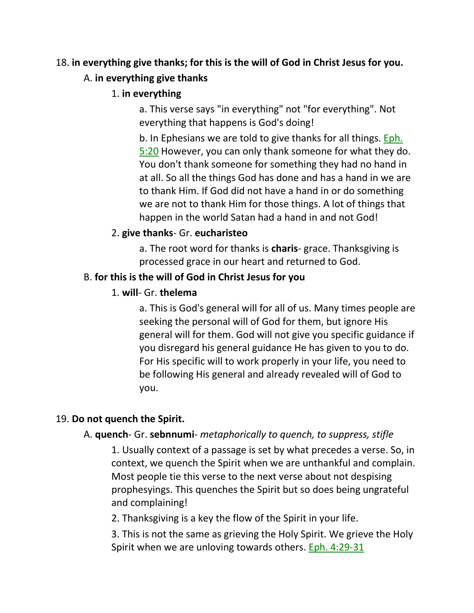# 18. **in everything give thanks; for this is the will of God in Christ Jesus for you.**

#### A. **in everything give thanks**

1. **in everything**

a. This verse says "in everything" not "for everything". Not everything that happens is God's doing!

b. In Ephesians we are told to give thanks for all things. Eph. 5:20 However, you can only thank someone for what they do. You don't thank someone for something they had no hand in at all. So all the things God has done and has a hand in we are to thank Him. If God did not have a hand in or do something we are not to thank Him for those things. A lot of things that happen in the world Satan had a hand in and not God!

### 2. **give thanks**- Gr. **eucharisteo**

a. The root word for thanks is **charis**- grace. Thanksgiving is processed grace in our heart and returned to God.

### B. **for this is the will of God in Christ Jesus for you**

### 1. **will**- Gr. **thelema**

a. This is God's general will for all of us. Many times people are seeking the personal will of God for them, but ignore His general will for them. God will not give you specific guidance if you disregard his general guidance He has given to you to do. For His specific will to work properly in your life, you need to be following His general and already revealed will of God to you.

# 19. **Do not quench the Spirit.**

#### A. **quench**- Gr. **sebnnumi**- *metaphorically to quench, to suppress, stifle*

1. Usually context of a passage is set by what precedes a verse. So, in context, we quench the Spirit when we are unthankful and complain. Most people tie this verse to the next verse about not despising prophesyings. This quenches the Spirit but so does being ungrateful and complaining!

2. Thanksgiving is a key the flow of the Spirit in your life.

3. This is not the same as grieving the Holy Spirit. We grieve the Holy Spirit when we are unloving towards others. Eph. 4:29-31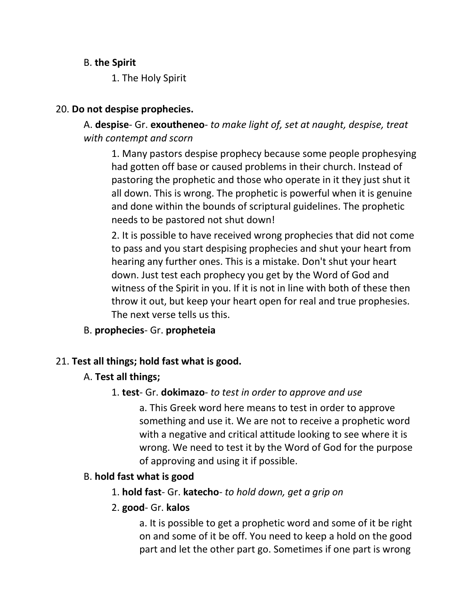### B. **the Spirit**

1. The Holy Spirit

### 20. **Do not despise prophecies.**

A. **despise**- Gr. **exoutheneo**- *to make light of, set at naught, despise, treat with contempt and scorn*

1. Many pastors despise prophecy because some people prophesying had gotten off base or caused problems in their church. Instead of pastoring the prophetic and those who operate in it they just shut it all down. This is wrong. The prophetic is powerful when it is genuine and done within the bounds of scriptural guidelines. The prophetic needs to be pastored not shut down!

2. It is possible to have received wrong prophecies that did not come to pass and you start despising prophecies and shut your heart from hearing any further ones. This is a mistake. Don't shut your heart down. Just test each prophecy you get by the Word of God and witness of the Spirit in you. If it is not in line with both of these then throw it out, but keep your heart open for real and true prophesies. The next verse tells us this.

B. **prophecies**- Gr. **propheteia**

# 21. **Test all things; hold fast what is good.**

- A. **Test all things;**
	- 1. **test** Gr. **dokimazo** *to test in order to approve and use*

a. This Greek word here means to test in order to approve something and use it. We are not to receive a prophetic word with a negative and critical attitude looking to see where it is wrong. We need to test it by the Word of God for the purpose of approving and using it if possible.

# B. **hold fast what is good**

- 1. **hold fast** Gr. **katecho** *to hold down, get a grip on*
- 2. **good** Gr. **kalos**

a. It is possible to get a prophetic word and some of it be right on and some of it be off. You need to keep a hold on the good part and let the other part go. Sometimes if one part is wrong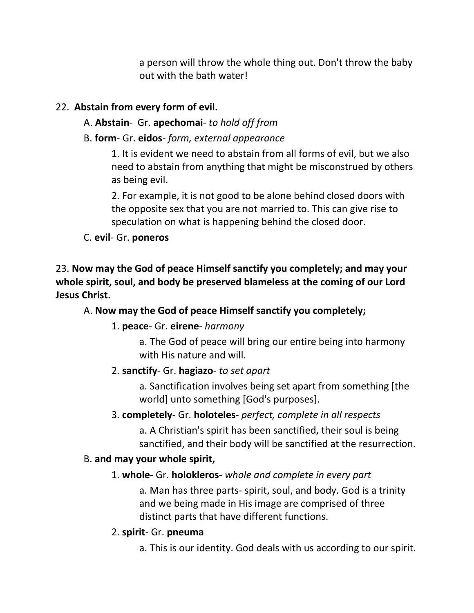a person will throw the whole thing out. Don't throw the baby out with the bath water!

### 22. **Abstain from every form of evil.**

- A. **Abstain** Gr. **apechomai** *to hold off from*
- B. **form** Gr. **eidos** *form, external appearance*

1. It is evident we need to abstain from all forms of evil, but we also need to abstain from anything that might be misconstrued by others as being evil.

2. For example, it is not good to be alone behind closed doors with the opposite sex that you are not married to. This can give rise to speculation on what is happening behind the closed door.

C. **evil**- Gr. **poneros**

23. **Now may the God of peace Himself sanctify you completely; and may your whole spirit, soul, and body be preserved blameless at the coming of our Lord Jesus Christ.** 

#### A. **Now may the God of peace Himself sanctify you completely;**

#### 1. **peace**- Gr. **eirene**- *harmony*

a. The God of peace will bring our entire being into harmony with His nature and will.

#### 2. **sanctify**- Gr. **hagiazo**- *to set apart*

a. Sanctification involves being set apart from something [the world] unto something [God's purposes].

#### 3. **completely**- Gr. **holoteles**- *perfect, complete in all respects*

a. A Christian's spirit has been sanctified, their soul is being sanctified, and their body will be sanctified at the resurrection.

#### B. **and may your whole spirit,**

#### 1. **whole**- Gr. **holokleros**- *whole and complete in every part*

a. Man has three parts- spirit, soul, and body. God is a trinity and we being made in His image are comprised of three distinct parts that have different functions.

#### 2. **spirit**- Gr. **pneuma**

a. This is our identity. God deals with us according to our spirit.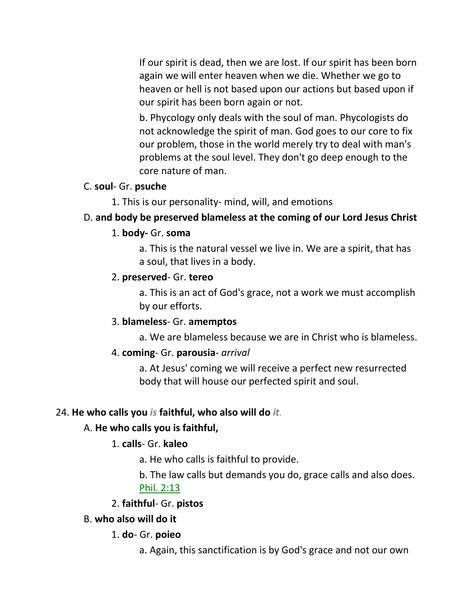If our spirit is dead, then we are lost. If our spirit has been born again we will enter heaven when we die. Whether we go to heaven or hell is not based upon our actions but based upon if our spirit has been born again or not.

b. Phycology only deals with the soul of man. Phycologists do not acknowledge the spirit of man. God goes to our core to fix our problem, those in the world merely try to deal with man's problems at the soul level. They don't go deep enough to the core nature of man.

#### C. **soul**- Gr. **psuche**

1. This is our personality- mind, will, and emotions

### D. **and body be preserved blameless at the coming of our Lord Jesus Christ**

#### 1. **body-** Gr. **soma**

a. This is the natural vessel we live in. We are a spirit, that has a soul, that lives in a body.

#### 2. **preserved**- Gr. **tereo**

a. This is an act of God's grace, not a work we must accomplish by our efforts.

#### 3. **blameless**- Gr. **amemptos**

a. We are blameless because we are in Christ who is blameless.

# 4. **coming**- Gr. **parousia**- *arrival*

a. At Jesus' coming we will receive a perfect new resurrected body that will house our perfected spirit and soul.

# 24. **He who calls you** *is* **faithful, who also will do** *it.*

# A. **He who calls you is faithful,**

# 1. **calls**- Gr. **kaleo**

a. He who calls is faithful to provide.

b. The law calls but demands you do, grace calls and also does. Phil. 2:13

# 2. **faithful**- Gr. **pistos**

#### B. **who also will do it**

1. **do**- Gr. **poieo**

a. Again, this sanctification is by God's grace and not our own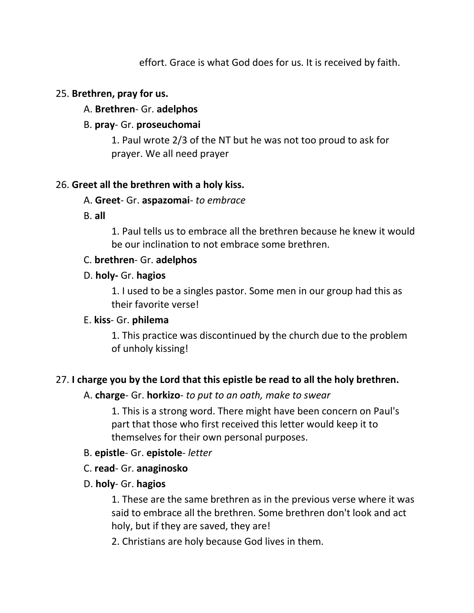effort. Grace is what God does for us. It is received by faith.

### 25. **Brethren, pray for us.**

### A. **Brethren**- Gr. **adelphos**

### B. **pray**- Gr. **proseuchomai**

1. Paul wrote 2/3 of the NT but he was not too proud to ask for prayer. We all need prayer

### 26. **Greet all the brethren with a holy kiss.**

#### A. **Greet**- Gr. **aspazomai**- *to embrace*

B. **all**

1. Paul tells us to embrace all the brethren because he knew it would be our inclination to not embrace some brethren.

### C. **brethren**- Gr. **adelphos**

### D. **holy-** Gr. **hagios**

1. I used to be a singles pastor. Some men in our group had this as their favorite verse!

#### E. **kiss**- Gr. **philema**

1. This practice was discontinued by the church due to the problem of unholy kissing!

# 27. **I charge you by the Lord that this epistle be read to all the holy brethren.**

# A. **charge**- Gr. **horkizo**- *to put to an oath, make to swear*

1. This is a strong word. There might have been concern on Paul's part that those who first received this letter would keep it to themselves for their own personal purposes.

#### B. **epistle**- Gr. **epistole**- *letter*

# C. **read**- Gr. **anaginosko**

# D. **holy**- Gr. **hagios**

1. These are the same brethren as in the previous verse where it was said to embrace all the brethren. Some brethren don't look and act holy, but if they are saved, they are!

2. Christians are holy because God lives in them.